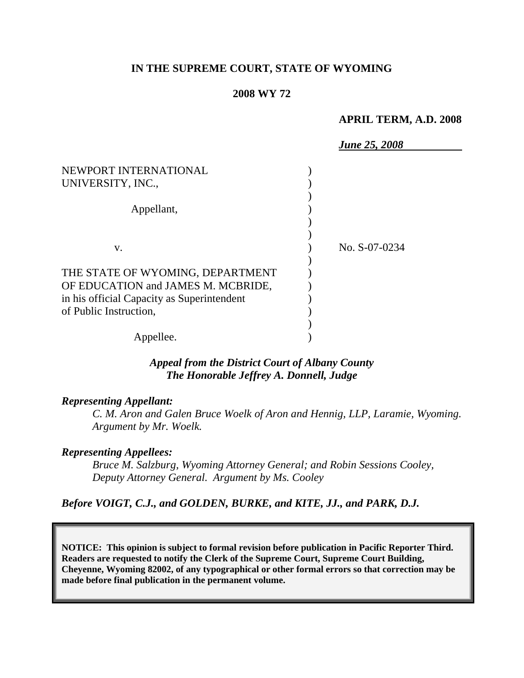### **IN THE SUPREME COURT, STATE OF WYOMING**

#### **2008 WY 72**

### **APRIL TERM, A.D. 2008**

|                                            | <b>June 25, 2008</b> |
|--------------------------------------------|----------------------|
| NEWPORT INTERNATIONAL<br>UNIVERSITY, INC., |                      |
| Appellant,                                 |                      |
| V.                                         | No. S-07-0234        |
| THE STATE OF WYOMING, DEPARTMENT           |                      |
| OF EDUCATION and JAMES M. MCBRIDE,         |                      |
| in his official Capacity as Superintendent |                      |
| of Public Instruction,                     |                      |
|                                            |                      |
| Appellee.                                  |                      |

# *Appeal from the District Court of Albany County The Honorable Jeffrey A. Donnell, Judge*

### *Representing Appellant:*

*C. M. Aron and Galen Bruce Woelk of Aron and Hennig, LLP, Laramie, Wyoming. Argument by Mr. Woelk.*

### *Representing Appellees:*

*Bruce M. Salzburg, Wyoming Attorney General; and Robin Sessions Cooley, Deputy Attorney General. Argument by Ms. Cooley*

### *Before VOIGT, C.J., and GOLDEN, BURKE, and KITE, JJ., and PARK, D.J.*

**NOTICE: This opinion is subject to formal revision before publication in Pacific Reporter Third. Readers are requested to notify the Clerk of the Supreme Court, Supreme Court Building, Cheyenne, Wyoming 82002, of any typographical or other formal errors so that correction may be made before final publication in the permanent volume.**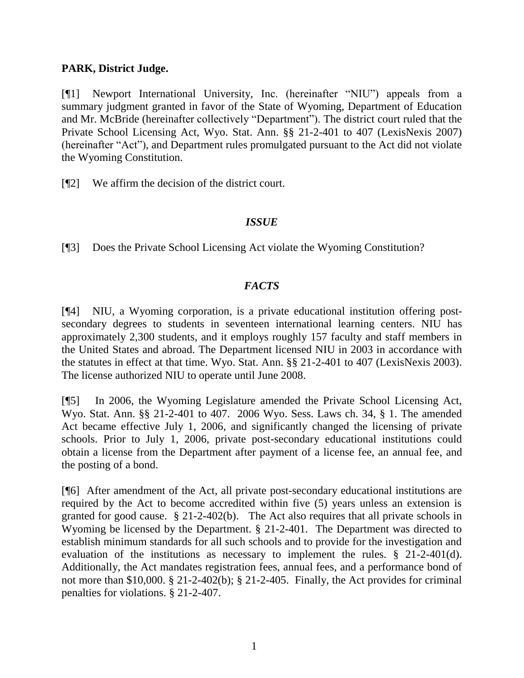## **PARK, District Judge.**

[¶1] Newport International University, Inc. (hereinafter "NIU") appeals from a summary judgment granted in favor of the State of Wyoming, Department of Education and Mr. McBride (hereinafter collectively "Department"). The district court ruled that the Private School Licensing Act, Wyo. Stat. Ann. §§ 21-2-401 to 407 (LexisNexis 2007) (hereinafter "Act"), and Department rules promulgated pursuant to the Act did not violate the Wyoming Constitution.

[¶2] We affirm the decision of the district court.

### *ISSUE*

[¶3] Does the Private School Licensing Act violate the Wyoming Constitution?

# *FACTS*

[¶4] NIU, a Wyoming corporation, is a private educational institution offering postsecondary degrees to students in seventeen international learning centers. NIU has approximately 2,300 students, and it employs roughly 157 faculty and staff members in the United States and abroad. The Department licensed NIU in 2003 in accordance with the statutes in effect at that time. Wyo. Stat. Ann. §§ 21-2-401 to 407 (LexisNexis 2003). The license authorized NIU to operate until June 2008.

[¶5] In 2006, the Wyoming Legislature amended the Private School Licensing Act, Wyo. Stat. Ann. §§ 21-2-401 to 407. 2006 Wyo. Sess. Laws ch. 34, § 1. The amended Act became effective July 1, 2006, and significantly changed the licensing of private schools. Prior to July 1, 2006, private post-secondary educational institutions could obtain a license from the Department after payment of a license fee, an annual fee, and the posting of a bond.

[¶6] After amendment of the Act, all private post-secondary educational institutions are required by the Act to become accredited within five (5) years unless an extension is granted for good cause. § 21-2-402(b). The Act also requires that all private schools in Wyoming be licensed by the Department. § 21-2-401. The Department was directed to establish minimum standards for all such schools and to provide for the investigation and evaluation of the institutions as necessary to implement the rules. § 21-2-401(d). Additionally, the Act mandates registration fees, annual fees, and a performance bond of not more than \$10,000. § 21-2-402(b); § 21-2-405. Finally, the Act provides for criminal penalties for violations. § 21-2-407.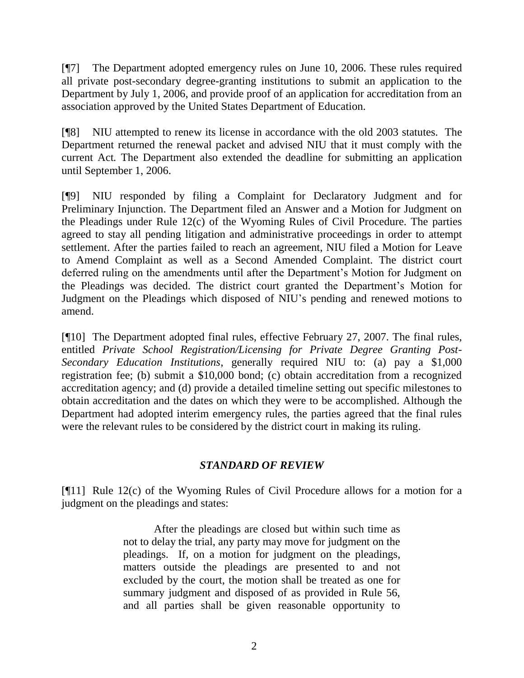[¶7] The Department adopted emergency rules on June 10, 2006. These rules required all private post-secondary degree-granting institutions to submit an application to the Department by July 1, 2006, and provide proof of an application for accreditation from an association approved by the United States Department of Education.

[¶8] NIU attempted to renew its license in accordance with the old 2003 statutes. The Department returned the renewal packet and advised NIU that it must comply with the current Act*.* The Department also extended the deadline for submitting an application until September 1, 2006.

[¶9] NIU responded by filing a Complaint for Declaratory Judgment and for Preliminary Injunction. The Department filed an Answer and a Motion for Judgment on the Pleadings under Rule 12(c) of the Wyoming Rules of Civil Procedure. The parties agreed to stay all pending litigation and administrative proceedings in order to attempt settlement. After the parties failed to reach an agreement, NIU filed a Motion for Leave to Amend Complaint as well as a Second Amended Complaint. The district court deferred ruling on the amendments until after the Department's Motion for Judgment on the Pleadings was decided. The district court granted the Department's Motion for Judgment on the Pleadings which disposed of NIU's pending and renewed motions to amend.

[¶10] The Department adopted final rules, effective February 27, 2007. The final rules, entitled *Private School Registration/Licensing for Private Degree Granting Post-Secondary Education Institutions*, generally required NIU to: (a) pay a \$1,000 registration fee; (b) submit a \$10,000 bond; (c) obtain accreditation from a recognized accreditation agency; and (d) provide a detailed timeline setting out specific milestones to obtain accreditation and the dates on which they were to be accomplished. Although the Department had adopted interim emergency rules, the parties agreed that the final rules were the relevant rules to be considered by the district court in making its ruling.

# *STANDARD OF REVIEW*

[¶11] Rule 12(c) of the Wyoming Rules of Civil Procedure allows for a motion for a judgment on the pleadings and states:

> After the pleadings are closed but within such time as not to delay the trial, any party may move for judgment on the pleadings. If, on a motion for judgment on the pleadings, matters outside the pleadings are presented to and not excluded by the court, the motion shall be treated as one for summary judgment and disposed of as provided in Rule 56, and all parties shall be given reasonable opportunity to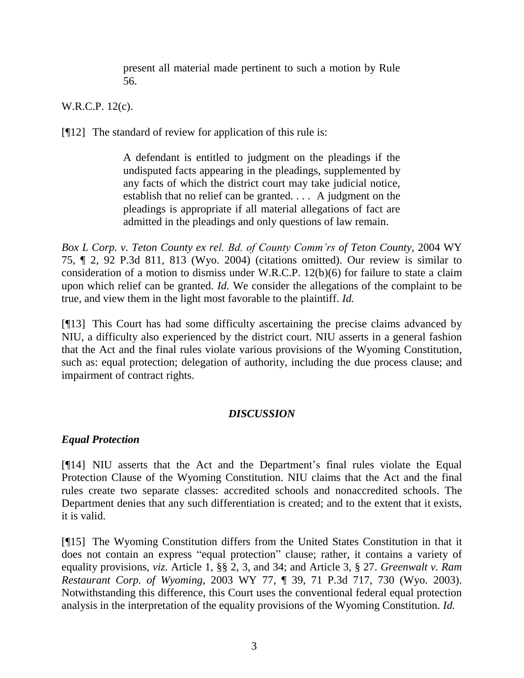present all material made pertinent to such a motion by Rule 56.

W.R.C.P. 12(c).

 $[912]$  The standard of review for application of this rule is:

A defendant is entitled to judgment on the pleadings if the undisputed facts appearing in the pleadings, supplemented by any facts of which the district court may take judicial notice, establish that no relief can be granted. . . . A judgment on the pleadings is appropriate if all material allegations of fact are admitted in the pleadings and only questions of law remain.

*Box L Corp. v. Teton County ex rel. Bd. of County Comm'rs of Teton County,* 2004 WY 75, ¶ 2, 92 P.3d 811, 813 (Wyo. 2004) (citations omitted). Our review is similar to consideration of a motion to dismiss under W.R.C.P. 12(b)(6) for failure to state a claim upon which relief can be granted. *Id.* We consider the allegations of the complaint to be true, and view them in the light most favorable to the plaintiff. *Id.*

[¶13] This Court has had some difficulty ascertaining the precise claims advanced by NIU, a difficulty also experienced by the district court. NIU asserts in a general fashion that the Act and the final rules violate various provisions of the Wyoming Constitution, such as: equal protection; delegation of authority, including the due process clause; and impairment of contract rights.

# *DISCUSSION*

# *Equal Protection*

[¶14] NIU asserts that the Act and the Department's final rules violate the Equal Protection Clause of the Wyoming Constitution. NIU claims that the Act and the final rules create two separate classes: accredited schools and nonaccredited schools. The Department denies that any such differentiation is created; and to the extent that it exists, it is valid.

[¶15] The Wyoming Constitution differs from the United States Constitution in that it does not contain an express "equal protection" clause; rather, it contains a variety of equality provisions, *viz.* Article 1, §§ 2, 3, and 34; and Article 3, § 27. *Greenwalt v. Ram Restaurant Corp. of Wyoming*, 2003 WY 77*,* ¶ 39, 71 P.3d 717, 730 (Wyo. 2003). Notwithstanding this difference, this Court uses the conventional federal equal protection analysis in the interpretation of the equality provisions of the Wyoming Constitution. *Id.*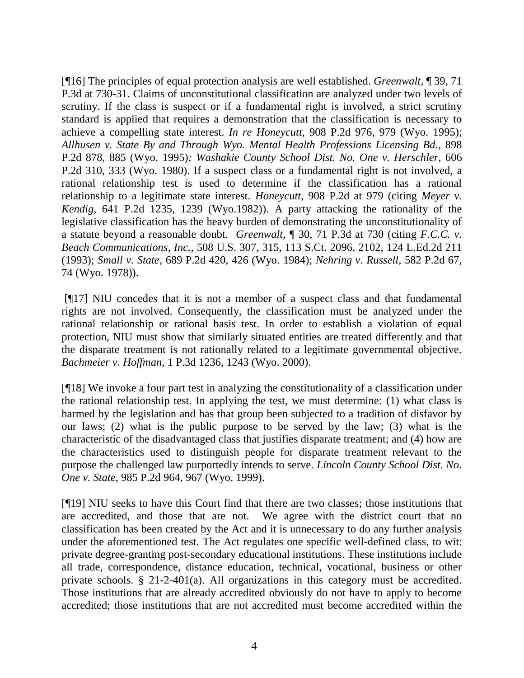[¶16] The principles of equal protection analysis are well established. *Greenwalt*, ¶ 39, 71 P.3d at 730-31. Claims of unconstitutional classification are analyzed under two levels of scrutiny. If the class is suspect or if a fundamental right is involved, a strict scrutiny standard is applied that requires a demonstration that the classification is necessary to achieve a compelling state interest. *In re Honeycutt*, 908 P.2d 976, 979 (Wyo. 1995); *Allhusen v. State By and Through Wyo. Mental Health Professions Licensing Bd.*, 898 P.2d 878, 885 (Wyo. 1995)*; Washakie County School Dist. No. One v. Herschler*, 606 P.2d 310, 333 (Wyo. 1980). If a suspect class or a fundamental right is not involved, a rational relationship test is used to determine if the classification has a rational relationship to a legitimate state interest. *Honeycutt*, 908 P.2d at 979 (citing *Meyer v. Kendig*, 641 P.2d 1235, 1239 (Wyo.1982)). A party attacking the rationality of the legislative classification has the heavy burden of demonstrating the unconstitutionality of a statute beyond a reasonable doubt. *Greenwalt*, ¶ 30, 71 P.3d at 730 (citing *F.C.C. v. Beach Communications, Inc.*, 508 U.S. 307, 315, 113 S.Ct. 2096, 2102, 124 L.Ed.2d 211 (1993); *Small v. State*, 689 P.2d 420, 426 (Wyo. 1984); *Nehring v. Russell*, 582 P.2d 67, 74 (Wyo. 1978)).

[¶17] NIU concedes that it is not a member of a suspect class and that fundamental rights are not involved. Consequently, the classification must be analyzed under the rational relationship or rational basis test. In order to establish a violation of equal protection, NIU must show that similarly situated entities are treated differently and that the disparate treatment is not rationally related to a legitimate governmental objective. *Bachmeier v. Hoffman*, 1 P.3d 1236, 1243 (Wyo. 2000).

[¶18] We invoke a four part test in analyzing the constitutionality of a classification under the rational relationship test. In applying the test, we must determine: (1) what class is harmed by the legislation and has that group been subjected to a tradition of disfavor by our laws; (2) what is the public purpose to be served by the law; (3) what is the characteristic of the disadvantaged class that justifies disparate treatment; and (4) how are the characteristics used to distinguish people for disparate treatment relevant to the purpose the challenged law purportedly intends to serve. *Lincoln County School Dist. No. One v. State*, 985 P.2d 964, 967 (Wyo. 1999).

[¶19] NIU seeks to have this Court find that there are two classes; those institutions that are accredited, and those that are not. We agree with the district court that no classification has been created by the Act and it is unnecessary to do any further analysis under the aforementioned test. The Act regulates one specific well-defined class, to wit: private degree-granting post-secondary educational institutions. These institutions include all trade, correspondence, distance education, technical, vocational, business or other private schools. § 21-2-401(a). All organizations in this category must be accredited. Those institutions that are already accredited obviously do not have to apply to become accredited; those institutions that are not accredited must become accredited within the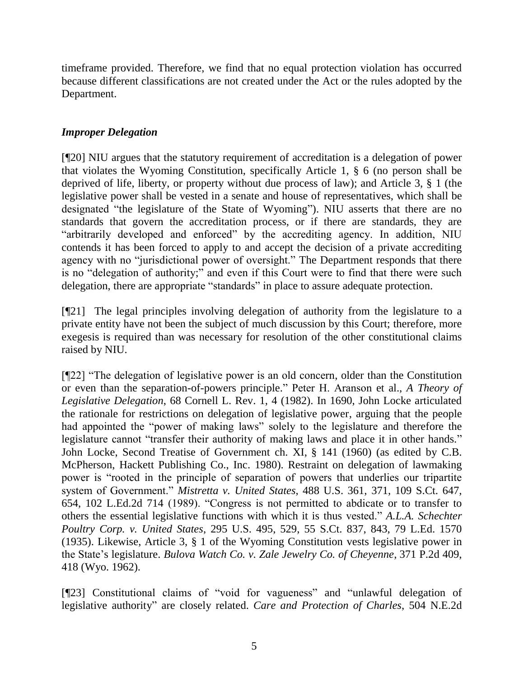timeframe provided. Therefore, we find that no equal protection violation has occurred because different classifications are not created under the Act or the rules adopted by the Department.

## *Improper Delegation*

[¶20] NIU argues that the statutory requirement of accreditation is a delegation of power that violates the Wyoming Constitution, specifically Article 1, § 6 (no person shall be deprived of life, liberty, or property without due process of law); and Article 3, § 1 (the legislative power shall be vested in a senate and house of representatives, which shall be designated "the legislature of the State of Wyoming"). NIU asserts that there are no standards that govern the accreditation process, or if there are standards, they are "arbitrarily developed and enforced" by the accrediting agency. In addition, NIU contends it has been forced to apply to and accept the decision of a private accrediting agency with no "jurisdictional power of oversight." The Department responds that there is no "delegation of authority;" and even if this Court were to find that there were such delegation, there are appropriate "standards" in place to assure adequate protection.

[¶21] The legal principles involving delegation of authority from the legislature to a private entity have not been the subject of much discussion by this Court; therefore, more exegesis is required than was necessary for resolution of the other constitutional claims raised by NIU.

[¶22] "The delegation of legislative power is an old concern, older than the Constitution or even than the separation-of-powers principle." Peter H. Aranson et al., *A Theory of Legislative Delegation*, 68 Cornell L. Rev. 1, 4 (1982). In 1690, John Locke articulated the rationale for restrictions on delegation of legislative power, arguing that the people had appointed the "power of making laws" solely to the legislature and therefore the legislature cannot "transfer their authority of making laws and place it in other hands." John Locke, Second Treatise of Government ch. XI, § 141 (1960) (as edited by C.B. McPherson, Hackett Publishing Co., Inc. 1980). Restraint on delegation of lawmaking power is "rooted in the principle of separation of powers that underlies our tripartite system of Government." *Mistretta v. United States*, 488 U.S. 361, 371, 109 S.Ct. 647, 654, 102 L.Ed.2d 714 (1989). "Congress is not permitted to abdicate or to transfer to others the essential legislative functions with which it is thus vested." *A.L.A. Schechter Poultry Corp. v. United States*, 295 U.S. 495, 529, 55 S.Ct. 837, 843, 79 L.Ed. 1570 (1935). Likewise, Article 3, § 1 of the Wyoming Constitution vests legislative power in the State's legislature. *Bulova Watch Co. v. Zale Jewelry Co. of Cheyenne*, 371 P.2d 409, 418 (Wyo. 1962).

[¶23] Constitutional claims of "void for vagueness" and "unlawful delegation of legislative authority" are closely related. *Care and Protection of Charles*, 504 N.E.2d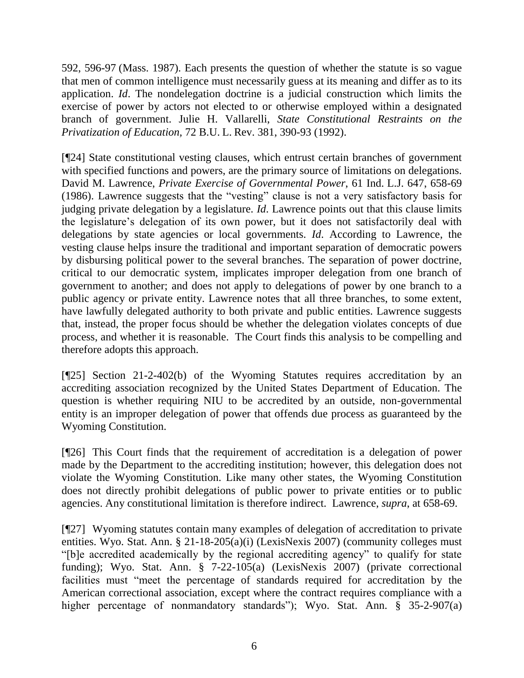592, 596-97 (Mass. 1987). Each presents the question of whether the statute is so vague that men of common intelligence must necessarily guess at its meaning and differ as to its application. *Id*. The nondelegation doctrine is a judicial construction which limits the exercise of power by actors not elected to or otherwise employed within a designated branch of government. Julie H. Vallarelli, *State Constitutional Restraints on the Privatization of Education,* 72 B.U. L. Rev. 381, 390-93 (1992).

[¶24] State constitutional vesting clauses, which entrust certain branches of government with specified functions and powers, are the primary source of limitations on delegations. David M. Lawrence, *Private Exercise of Governmental Power*, 61 Ind. L.J. 647, 658-69 (1986). Lawrence suggests that the "vesting" clause is not a very satisfactory basis for judging private delegation by a legislature. *Id*. Lawrence points out that this clause limits the legislature's delegation of its own power, but it does not satisfactorily deal with delegations by state agencies or local governments. *Id*. According to Lawrence, the vesting clause helps insure the traditional and important separation of democratic powers by disbursing political power to the several branches. The separation of power doctrine, critical to our democratic system, implicates improper delegation from one branch of government to another; and does not apply to delegations of power by one branch to a public agency or private entity. Lawrence notes that all three branches, to some extent, have lawfully delegated authority to both private and public entities. Lawrence suggests that, instead, the proper focus should be whether the delegation violates concepts of due process, and whether it is reasonable. The Court finds this analysis to be compelling and therefore adopts this approach.

[¶25] Section 21-2-402(b) of the Wyoming Statutes requires accreditation by an accrediting association recognized by the United States Department of Education. The question is whether requiring NIU to be accredited by an outside, non-governmental entity is an improper delegation of power that offends due process as guaranteed by the Wyoming Constitution.

[¶26] This Court finds that the requirement of accreditation is a delegation of power made by the Department to the accrediting institution; however, this delegation does not violate the Wyoming Constitution. Like many other states, the Wyoming Constitution does not directly prohibit delegations of public power to private entities or to public agencies. Any constitutional limitation is therefore indirect. Lawrence, *supra*, at 658-69.

[¶27] Wyoming statutes contain many examples of delegation of accreditation to private entities. Wyo. Stat. Ann. § 21-18-205(a)(i) (LexisNexis 2007) (community colleges must "[b]e accredited academically by the regional accrediting agency" to qualify for state funding); Wyo. Stat. Ann. § 7-22-105(a) (LexisNexis 2007) (private correctional facilities must "meet the percentage of standards required for accreditation by the American correctional association, except where the contract requires compliance with a higher percentage of nonmandatory standards"); Wyo. Stat. Ann. § 35-2-907(a)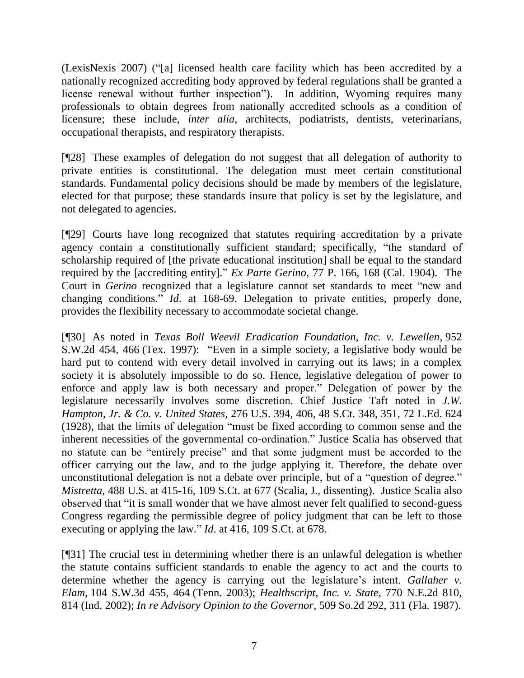(LexisNexis 2007) ("[a] licensed health care facility which has been accredited by a nationally recognized accrediting body approved by federal regulations shall be granted a license renewal without further inspection"). In addition, Wyoming requires many professionals to obtain degrees from nationally accredited schools as a condition of licensure; these include, *inter alia,* architects, podiatrists, dentists, veterinarians, occupational therapists, and respiratory therapists.

[¶28] These examples of delegation do not suggest that all delegation of authority to private entities is constitutional. The delegation must meet certain constitutional standards. Fundamental policy decisions should be made by members of the legislature, elected for that purpose; these standards insure that policy is set by the legislature, and not delegated to agencies.

[¶29] Courts have long recognized that statutes requiring accreditation by a private agency contain a constitutionally sufficient standard; specifically, "the standard of scholarship required of [the private educational institution] shall be equal to the standard required by the [accrediting entity]." *Ex Parte Gerino*, 77 P. 166, 168 (Cal. 1904). The Court in *Gerino* recognized that a legislature cannot set standards to meet "new and changing conditions." *Id*. at 168-69. Delegation to private entities, properly done, provides the flexibility necessary to accommodate societal change.

[¶30] As noted in *Texas Boll Weevil Eradication Foundation, Inc. v. Lewellen*, 952 S.W.2d 454, 466 (Tex. 1997): "Even in a simple society, a legislative body would be hard put to contend with every detail involved in carrying out its laws; in a complex society it is absolutely impossible to do so. Hence, legislative delegation of power to enforce and apply law is both necessary and proper." Delegation of power by the legislature necessarily involves some discretion. Chief Justice Taft noted in *J.W. Hampton, Jr. & Co. v. United States,* 276 U.S. 394, 406, 48 S.Ct. 348, 351, 72 L.Ed. 624 (1928), that the limits of delegation "must be fixed according to common sense and the inherent necessities of the governmental co-ordination." Justice Scalia has observed that no statute can be "entirely precise" and that some judgment must be accorded to the officer carrying out the law, and to the judge applying it. Therefore, the debate over unconstitutional delegation is not a debate over principle, but of a "question of degree." *Mistretta*, 488 U.S. at 415-16, 109 S.Ct. at 677 (Scalia, J., dissenting). Justice Scalia also observed that "it is small wonder that we have almost never felt qualified to second-guess Congress regarding the permissible degree of policy judgment that can be left to those executing or applying the law." *Id*. at 416, 109 S.Ct. at 678.

[¶31] The crucial test in determining whether there is an unlawful delegation is whether the statute contains sufficient standards to enable the agency to act and the courts to determine whether the agency is carrying out the legislature's intent. *Gallaher v. Elam*, 104 S.W.3d 455, 464 (Tenn. 2003); *Healthscript, Inc. v. State*, 770 N.E.2d 810, 814 (Ind. 2002); *In re Advisory Opinion to the Governor*, 509 So.2d 292, 311 (Fla. 1987).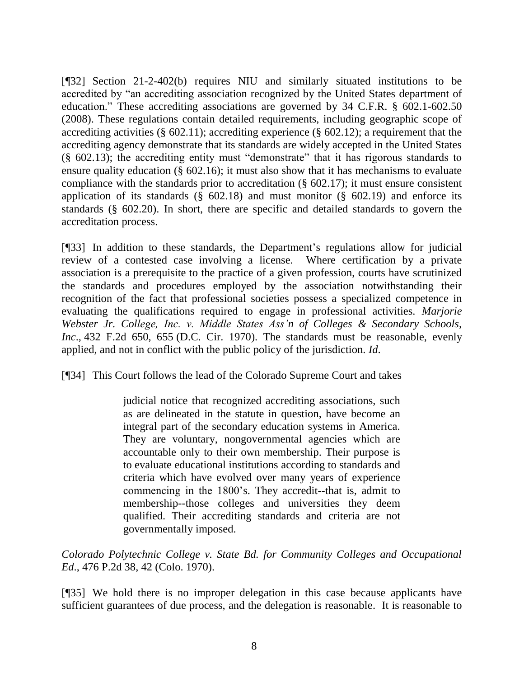[¶32] Section 21-2-402(b) requires NIU and similarly situated institutions to be accredited by "an accrediting association recognized by the United States department of education." These accrediting associations are governed by 34 C.F.R. § 602.1-602.50 (2008). These regulations contain detailed requirements, including geographic scope of accrediting activities (§ 602.11); accrediting experience (§ 602.12); a requirement that the accrediting agency demonstrate that its standards are widely accepted in the United States (§ 602.13); the accrediting entity must "demonstrate" that it has rigorous standards to ensure quality education (§ 602.16); it must also show that it has mechanisms to evaluate compliance with the standards prior to accreditation (§ 602.17); it must ensure consistent application of its standards  $(\S$  602.18) and must monitor  $(\S$  602.19) and enforce its standards (§ 602.20). In short, there are specific and detailed standards to govern the accreditation process.

[¶33] In addition to these standards, the Department's regulations allow for judicial review of a contested case involving a license. Where certification by a private association is a prerequisite to the practice of a given profession, courts have scrutinized the standards and procedures employed by the association notwithstanding their recognition of the fact that professional societies possess a specialized competence in evaluating the qualifications required to engage in professional activities. *Marjorie Webster Jr. College, Inc. v. Middle States Ass'n of Colleges & Secondary Schools, Inc*., 432 F.2d 650, 655 (D.C. Cir. 1970). The standards must be reasonable, evenly applied, and not in conflict with the public policy of the jurisdiction. *Id*.

[¶34] This Court follows the lead of the Colorado Supreme Court and takes

judicial notice that recognized accrediting associations, such as are delineated in the statute in question, have become an integral part of the secondary education systems in America. They are voluntary, nongovernmental agencies which are accountable only to their own membership. Their purpose is to evaluate educational institutions according to standards and criteria which have evolved over many years of experience commencing in the 1800's. They accredit--that is, admit to membership--those colleges and universities they deem qualified. Their accrediting standards and criteria are not governmentally imposed.

*Colorado Polytechnic College v. State Bd. for Community Colleges and Occupational Ed*., 476 P.2d 38, 42 (Colo. 1970).

[¶35] We hold there is no improper delegation in this case because applicants have sufficient guarantees of due process, and the delegation is reasonable. It is reasonable to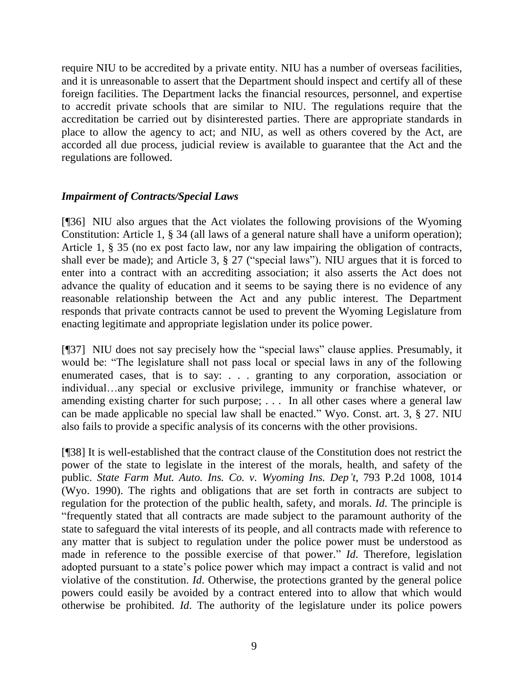require NIU to be accredited by a private entity. NIU has a number of overseas facilities, and it is unreasonable to assert that the Department should inspect and certify all of these foreign facilities. The Department lacks the financial resources, personnel, and expertise to accredit private schools that are similar to NIU. The regulations require that the accreditation be carried out by disinterested parties. There are appropriate standards in place to allow the agency to act; and NIU, as well as others covered by the Act, are accorded all due process, judicial review is available to guarantee that the Act and the regulations are followed.

# *Impairment of Contracts/Special Laws*

[¶36] NIU also argues that the Act violates the following provisions of the Wyoming Constitution: Article 1, § 34 (all laws of a general nature shall have a uniform operation); Article 1, § 35 (no ex post facto law, nor any law impairing the obligation of contracts, shall ever be made); and Article 3, § 27 ("special laws"). NIU argues that it is forced to enter into a contract with an accrediting association; it also asserts the Act does not advance the quality of education and it seems to be saying there is no evidence of any reasonable relationship between the Act and any public interest. The Department responds that private contracts cannot be used to prevent the Wyoming Legislature from enacting legitimate and appropriate legislation under its police power.

[¶37] NIU does not say precisely how the "special laws" clause applies. Presumably, it would be: "The legislature shall not pass local or special laws in any of the following enumerated cases, that is to say: . . . granting to any corporation, association or individual…any special or exclusive privilege, immunity or franchise whatever, or amending existing charter for such purpose; . . . In all other cases where a general law can be made applicable no special law shall be enacted." Wyo. Const. art. 3, § 27. NIU also fails to provide a specific analysis of its concerns with the other provisions.

[¶38] It is well-established that the contract clause of the Constitution does not restrict the power of the state to legislate in the interest of the morals, health, and safety of the public. *State Farm Mut. Auto. Ins. Co. v. Wyoming Ins. Dep't*, 793 P.2d 1008, 1014 (Wyo. 1990). The rights and obligations that are set forth in contracts are subject to regulation for the protection of the public health, safety, and morals. *Id*. The principle is "frequently stated that all contracts are made subject to the paramount authority of the state to safeguard the vital interests of its people, and all contracts made with reference to any matter that is subject to regulation under the police power must be understood as made in reference to the possible exercise of that power." *Id*. Therefore, legislation adopted pursuant to a state's police power which may impact a contract is valid and not violative of the constitution. *Id*. Otherwise, the protections granted by the general police powers could easily be avoided by a contract entered into to allow that which would otherwise be prohibited. *Id*. The authority of the legislature under its police powers